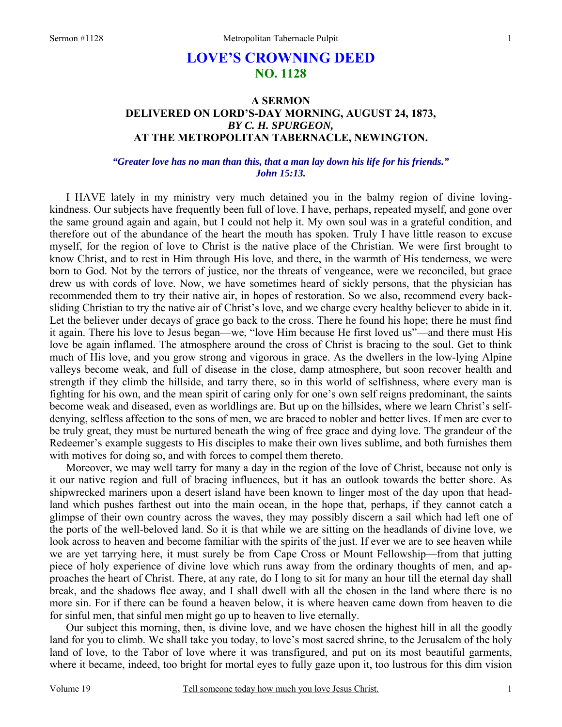# **LOVE'S CROWNING DEED NO. 1128**

# **A SERMON DELIVERED ON LORD'S-DAY MORNING, AUGUST 24, 1873,**  *BY C. H. SPURGEON,*  **AT THE METROPOLITAN TABERNACLE, NEWINGTON.**

# *"Greater love has no man than this, that a man lay down his life for his friends." John 15:13.*

I HAVE lately in my ministry very much detained you in the balmy region of divine lovingkindness. Our subjects have frequently been full of love. I have, perhaps, repeated myself, and gone over the same ground again and again, but I could not help it. My own soul was in a grateful condition, and therefore out of the abundance of the heart the mouth has spoken. Truly I have little reason to excuse myself, for the region of love to Christ is the native place of the Christian. We were first brought to know Christ, and to rest in Him through His love, and there, in the warmth of His tenderness, we were born to God. Not by the terrors of justice, nor the threats of vengeance, were we reconciled, but grace drew us with cords of love. Now, we have sometimes heard of sickly persons, that the physician has recommended them to try their native air, in hopes of restoration. So we also, recommend every backsliding Christian to try the native air of Christ's love, and we charge every healthy believer to abide in it. Let the believer under decays of grace go back to the cross. There he found his hope; there he must find it again. There his love to Jesus began—we, "love Him because He first loved us"—and there must His love be again inflamed. The atmosphere around the cross of Christ is bracing to the soul. Get to think much of His love, and you grow strong and vigorous in grace. As the dwellers in the low-lying Alpine valleys become weak, and full of disease in the close, damp atmosphere, but soon recover health and strength if they climb the hillside, and tarry there, so in this world of selfishness, where every man is fighting for his own, and the mean spirit of caring only for one's own self reigns predominant, the saints become weak and diseased, even as worldlings are. But up on the hillsides, where we learn Christ's selfdenying, selfless affection to the sons of men, we are braced to nobler and better lives. If men are ever to be truly great, they must be nurtured beneath the wing of free grace and dying love. The grandeur of the Redeemer's example suggests to His disciples to make their own lives sublime, and both furnishes them with motives for doing so, and with forces to compel them thereto.

Moreover, we may well tarry for many a day in the region of the love of Christ, because not only is it our native region and full of bracing influences, but it has an outlook towards the better shore. As shipwrecked mariners upon a desert island have been known to linger most of the day upon that headland which pushes farthest out into the main ocean, in the hope that, perhaps, if they cannot catch a glimpse of their own country across the waves, they may possibly discern a sail which had left one of the ports of the well-beloved land. So it is that while we are sitting on the headlands of divine love, we look across to heaven and become familiar with the spirits of the just. If ever we are to see heaven while we are yet tarrying here, it must surely be from Cape Cross or Mount Fellowship—from that jutting piece of holy experience of divine love which runs away from the ordinary thoughts of men, and approaches the heart of Christ. There, at any rate, do I long to sit for many an hour till the eternal day shall break, and the shadows flee away, and I shall dwell with all the chosen in the land where there is no more sin. For if there can be found a heaven below, it is where heaven came down from heaven to die for sinful men, that sinful men might go up to heaven to live eternally.

Our subject this morning, then, is divine love, and we have chosen the highest hill in all the goodly land for you to climb. We shall take you today, to love's most sacred shrine, to the Jerusalem of the holy land of love, to the Tabor of love where it was transfigured, and put on its most beautiful garments, where it became, indeed, too bright for mortal eyes to fully gaze upon it, too lustrous for this dim vision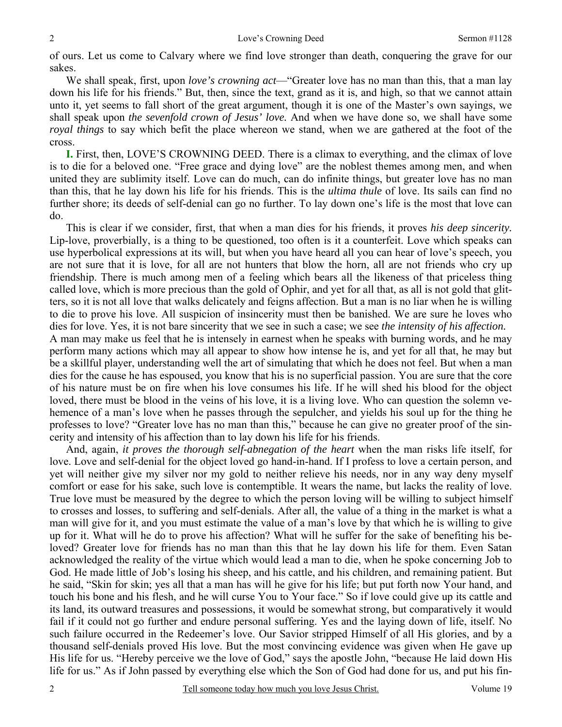of ours. Let us come to Calvary where we find love stronger than death, conquering the grave for our sakes.

We shall speak, first, upon *love's crowning act*—"Greater love has no man than this, that a man lay down his life for his friends." But, then, since the text, grand as it is, and high, so that we cannot attain unto it, yet seems to fall short of the great argument, though it is one of the Master's own sayings, we shall speak upon *the sevenfold crown of Jesus' love.* And when we have done so, we shall have some *royal things* to say which befit the place whereon we stand, when we are gathered at the foot of the cross.

**I.** First, then, LOVE'S CROWNING DEED. There is a climax to everything, and the climax of love is to die for a beloved one. "Free grace and dying love" are the noblest themes among men, and when united they are sublimity itself. Love can do much, can do infinite things, but greater love has no man than this, that he lay down his life for his friends. This is the *ultima thule* of love. Its sails can find no further shore; its deeds of self-denial can go no further. To lay down one's life is the most that love can do.

This is clear if we consider, first, that when a man dies for his friends, it proves *his deep sincerity.* Lip-love, proverbially, is a thing to be questioned, too often is it a counterfeit. Love which speaks can use hyperbolical expressions at its will, but when you have heard all you can hear of love's speech, you are not sure that it is love, for all are not hunters that blow the horn, all are not friends who cry up friendship. There is much among men of a feeling which bears all the likeness of that priceless thing called love, which is more precious than the gold of Ophir, and yet for all that, as all is not gold that glitters, so it is not all love that walks delicately and feigns affection. But a man is no liar when he is willing to die to prove his love. All suspicion of insincerity must then be banished. We are sure he loves who dies for love. Yes, it is not bare sincerity that we see in such a case; we see *the intensity of his affection.*

A man may make us feel that he is intensely in earnest when he speaks with burning words, and he may perform many actions which may all appear to show how intense he is, and yet for all that, he may but be a skillful player, understanding well the art of simulating that which he does not feel. But when a man dies for the cause he has espoused, you know that his is no superficial passion. You are sure that the core of his nature must be on fire when his love consumes his life. If he will shed his blood for the object loved, there must be blood in the veins of his love, it is a living love. Who can question the solemn vehemence of a man's love when he passes through the sepulcher, and yields his soul up for the thing he professes to love? "Greater love has no man than this," because he can give no greater proof of the sincerity and intensity of his affection than to lay down his life for his friends.

 And, again, *it proves the thorough self-abnegation of the heart* when the man risks life itself, for love. Love and self-denial for the object loved go hand-in-hand. If I profess to love a certain person, and yet will neither give my silver nor my gold to neither relieve his needs, nor in any way deny myself comfort or ease for his sake, such love is contemptible. It wears the name, but lacks the reality of love. True love must be measured by the degree to which the person loving will be willing to subject himself to crosses and losses, to suffering and self-denials. After all, the value of a thing in the market is what a man will give for it, and you must estimate the value of a man's love by that which he is willing to give up for it. What will he do to prove his affection? What will he suffer for the sake of benefiting his beloved? Greater love for friends has no man than this that he lay down his life for them. Even Satan acknowledged the reality of the virtue which would lead a man to die, when he spoke concerning Job to God. He made little of Job's losing his sheep, and his cattle, and his children, and remaining patient. But he said, "Skin for skin; yes all that a man has will he give for his life; but put forth now Your hand, and touch his bone and his flesh, and he will curse You to Your face." So if love could give up its cattle and its land, its outward treasures and possessions, it would be somewhat strong, but comparatively it would fail if it could not go further and endure personal suffering. Yes and the laying down of life, itself. No such failure occurred in the Redeemer's love. Our Savior stripped Himself of all His glories, and by a thousand self-denials proved His love. But the most convincing evidence was given when He gave up His life for us. "Hereby perceive we the love of God," says the apostle John, "because He laid down His life for us." As if John passed by everything else which the Son of God had done for us, and put his fin-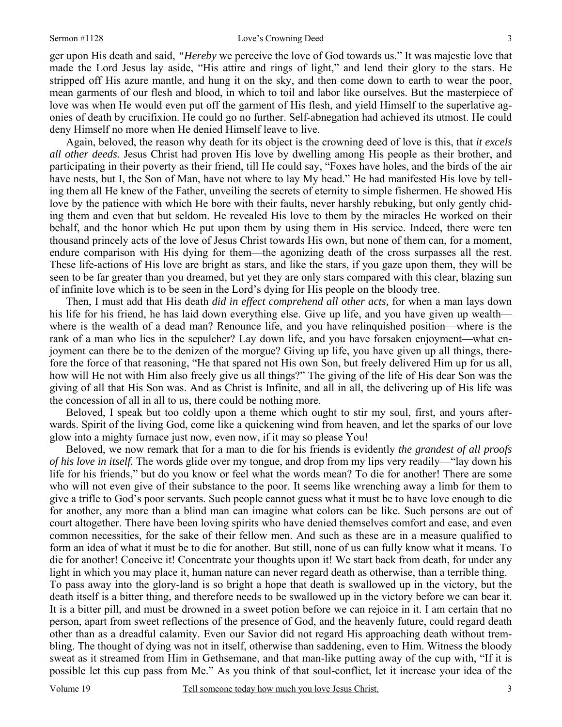#### Sermon #1128 Love's Crowning Deed

ger upon His death and said, *"Hereby* we perceive the love of God towards us." It was majestic love that made the Lord Jesus lay aside, "His attire and rings of light," and lend their glory to the stars. He stripped off His azure mantle, and hung it on the sky, and then come down to earth to wear the poor, mean garments of our flesh and blood, in which to toil and labor like ourselves. But the masterpiece of love was when He would even put off the garment of His flesh, and yield Himself to the superlative agonies of death by crucifixion. He could go no further. Self-abnegation had achieved its utmost. He could deny Himself no more when He denied Himself leave to live.

Again, beloved, the reason why death for its object is the crowning deed of love is this, that *it excels all other deeds.* Jesus Christ had proven His love by dwelling among His people as their brother, and participating in their poverty as their friend, till He could say, "Foxes have holes, and the birds of the air have nests, but I, the Son of Man, have not where to lay My head." He had manifested His love by telling them all He knew of the Father, unveiling the secrets of eternity to simple fishermen. He showed His love by the patience with which He bore with their faults, never harshly rebuking, but only gently chiding them and even that but seldom. He revealed His love to them by the miracles He worked on their behalf, and the honor which He put upon them by using them in His service. Indeed, there were ten thousand princely acts of the love of Jesus Christ towards His own, but none of them can, for a moment, endure comparison with His dying for them—the agonizing death of the cross surpasses all the rest. These life-actions of His love are bright as stars, and like the stars, if you gaze upon them, they will be seen to be far greater than you dreamed, but yet they are only stars compared with this clear, blazing sun of infinite love which is to be seen in the Lord's dying for His people on the bloody tree.

Then, I must add that His death *did in effect comprehend all other acts,* for when a man lays down his life for his friend, he has laid down everything else. Give up life, and you have given up wealth where is the wealth of a dead man? Renounce life, and you have relinquished position—where is the rank of a man who lies in the sepulcher? Lay down life, and you have forsaken enjoyment—what enjoyment can there be to the denizen of the morgue? Giving up life, you have given up all things, therefore the force of that reasoning, "He that spared not His own Son, but freely delivered Him up for us all, how will He not with Him also freely give us all things?" The giving of the life of His dear Son was the giving of all that His Son was. And as Christ is Infinite, and all in all, the delivering up of His life was the concession of all in all to us, there could be nothing more.

Beloved, I speak but too coldly upon a theme which ought to stir my soul, first, and yours afterwards. Spirit of the living God, come like a quickening wind from heaven, and let the sparks of our love glow into a mighty furnace just now, even now, if it may so please You!

Beloved, we now remark that for a man to die for his friends is evidently *the grandest of all proofs of his love in itself.* The words glide over my tongue, and drop from my lips very readily—"lay down his life for his friends," but do you know or feel what the words mean? To die for another! There are some who will not even give of their substance to the poor. It seems like wrenching away a limb for them to give a trifle to God's poor servants. Such people cannot guess what it must be to have love enough to die for another, any more than a blind man can imagine what colors can be like. Such persons are out of court altogether. There have been loving spirits who have denied themselves comfort and ease, and even common necessities, for the sake of their fellow men. And such as these are in a measure qualified to form an idea of what it must be to die for another. But still, none of us can fully know what it means. To die for another! Conceive it! Concentrate your thoughts upon it! We start back from death, for under any light in which you may place it, human nature can never regard death as otherwise, than a terrible thing. To pass away into the glory-land is so bright a hope that death is swallowed up in the victory, but the death itself is a bitter thing, and therefore needs to be swallowed up in the victory before we can bear it. It is a bitter pill, and must be drowned in a sweet potion before we can rejoice in it. I am certain that no person, apart from sweet reflections of the presence of God, and the heavenly future, could regard death other than as a dreadful calamity. Even our Savior did not regard His approaching death without trembling. The thought of dying was not in itself, otherwise than saddening, even to Him. Witness the bloody sweat as it streamed from Him in Gethsemane, and that man-like putting away of the cup with, "If it is possible let this cup pass from Me." As you think of that soul-conflict, let it increase your idea of the

3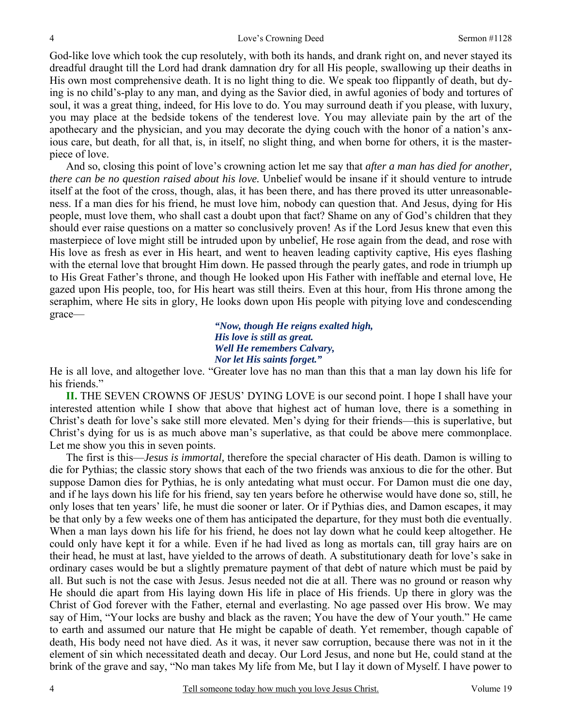God-like love which took the cup resolutely, with both its hands, and drank right on, and never stayed its dreadful draught till the Lord had drank damnation dry for all His people, swallowing up their deaths in His own most comprehensive death. It is no light thing to die. We speak too flippantly of death, but dying is no child's-play to any man, and dying as the Savior died, in awful agonies of body and tortures of soul, it was a great thing, indeed, for His love to do. You may surround death if you please, with luxury, you may place at the bedside tokens of the tenderest love. You may alleviate pain by the art of the apothecary and the physician, and you may decorate the dying couch with the honor of a nation's anxious care, but death, for all that, is, in itself, no slight thing, and when borne for others, it is the masterpiece of love.

And so, closing this point of love's crowning action let me say that *after a man has died for another, there can be no question raised about his love.* Unbelief would be insane if it should venture to intrude itself at the foot of the cross, though, alas, it has been there, and has there proved its utter unreasonableness. If a man dies for his friend, he must love him, nobody can question that. And Jesus, dying for His people, must love them, who shall cast a doubt upon that fact? Shame on any of God's children that they should ever raise questions on a matter so conclusively proven! As if the Lord Jesus knew that even this masterpiece of love might still be intruded upon by unbelief, He rose again from the dead, and rose with His love as fresh as ever in His heart, and went to heaven leading captivity captive, His eyes flashing with the eternal love that brought Him down. He passed through the pearly gates, and rode in triumph up to His Great Father's throne, and though He looked upon His Father with ineffable and eternal love, He gazed upon His people, too, for His heart was still theirs. Even at this hour, from His throne among the seraphim, where He sits in glory, He looks down upon His people with pitying love and condescending grace—

> *"Now, though He reigns exalted high, His love is still as great. Well He remembers Calvary, Nor let His saints forget."*

He is all love, and altogether love. "Greater love has no man than this that a man lay down his life for his friends."

**II.** THE SEVEN CROWNS OF JESUS' DYING LOVE is our second point. I hope I shall have your interested attention while I show that above that highest act of human love, there is a something in Christ's death for love's sake still more elevated. Men's dying for their friends—this is superlative, but Christ's dying for us is as much above man's superlative, as that could be above mere commonplace. Let me show you this in seven points.

The first is this—*Jesus is immortal,* therefore the special character of His death. Damon is willing to die for Pythias; the classic story shows that each of the two friends was anxious to die for the other. But suppose Damon dies for Pythias, he is only antedating what must occur. For Damon must die one day, and if he lays down his life for his friend, say ten years before he otherwise would have done so, still, he only loses that ten years' life, he must die sooner or later. Or if Pythias dies, and Damon escapes, it may be that only by a few weeks one of them has anticipated the departure, for they must both die eventually. When a man lays down his life for his friend, he does not lay down what he could keep altogether. He could only have kept it for a while. Even if he had lived as long as mortals can, till gray hairs are on their head, he must at last, have yielded to the arrows of death. A substitutionary death for love's sake in ordinary cases would be but a slightly premature payment of that debt of nature which must be paid by all. But such is not the case with Jesus. Jesus needed not die at all. There was no ground or reason why He should die apart from His laying down His life in place of His friends. Up there in glory was the Christ of God forever with the Father, eternal and everlasting. No age passed over His brow. We may say of Him, "Your locks are bushy and black as the raven; You have the dew of Your youth." He came to earth and assumed our nature that He might be capable of death. Yet remember, though capable of death, His body need not have died. As it was, it never saw corruption, because there was not in it the element of sin which necessitated death and decay. Our Lord Jesus, and none but He, could stand at the brink of the grave and say, "No man takes My life from Me, but I lay it down of Myself. I have power to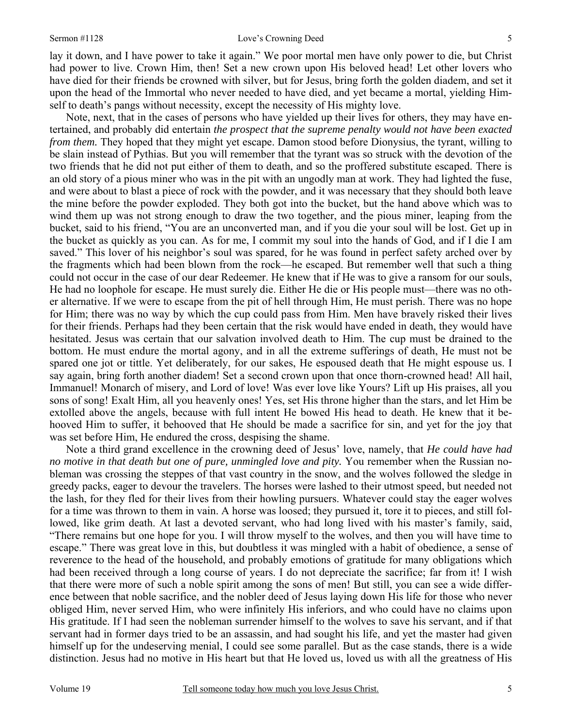#### Sermon #1128 Love's Crowning Deed

lay it down, and I have power to take it again." We poor mortal men have only power to die, but Christ had power to live. Crown Him, then! Set a new crown upon His beloved head! Let other lovers who have died for their friends be crowned with silver, but for Jesus, bring forth the golden diadem, and set it upon the head of the Immortal who never needed to have died, and yet became a mortal, yielding Himself to death's pangs without necessity, except the necessity of His mighty love.

Note, next, that in the cases of persons who have yielded up their lives for others, they may have entertained, and probably did entertain *the prospect that the supreme penalty would not have been exacted from them.* They hoped that they might yet escape. Damon stood before Dionysius, the tyrant, willing to be slain instead of Pythias. But you will remember that the tyrant was so struck with the devotion of the two friends that he did not put either of them to death, and so the proffered substitute escaped. There is an old story of a pious miner who was in the pit with an ungodly man at work. They had lighted the fuse, and were about to blast a piece of rock with the powder, and it was necessary that they should both leave the mine before the powder exploded. They both got into the bucket, but the hand above which was to wind them up was not strong enough to draw the two together, and the pious miner, leaping from the bucket, said to his friend, "You are an unconverted man, and if you die your soul will be lost. Get up in the bucket as quickly as you can. As for me, I commit my soul into the hands of God, and if I die I am saved." This lover of his neighbor's soul was spared, for he was found in perfect safety arched over by the fragments which had been blown from the rock—he escaped. But remember well that such a thing could not occur in the case of our dear Redeemer. He knew that if He was to give a ransom for our souls, He had no loophole for escape. He must surely die. Either He die or His people must—there was no other alternative. If we were to escape from the pit of hell through Him, He must perish. There was no hope for Him; there was no way by which the cup could pass from Him. Men have bravely risked their lives for their friends. Perhaps had they been certain that the risk would have ended in death, they would have hesitated. Jesus was certain that our salvation involved death to Him. The cup must be drained to the bottom. He must endure the mortal agony, and in all the extreme sufferings of death, He must not be spared one jot or tittle. Yet deliberately, for our sakes, He espoused death that He might espouse us. I say again, bring forth another diadem! Set a second crown upon that once thorn-crowned head! All hail, Immanuel! Monarch of misery, and Lord of love! Was ever love like Yours? Lift up His praises, all you sons of song! Exalt Him, all you heavenly ones! Yes, set His throne higher than the stars, and let Him be extolled above the angels, because with full intent He bowed His head to death. He knew that it behooved Him to suffer, it behooved that He should be made a sacrifice for sin, and yet for the joy that was set before Him, He endured the cross, despising the shame.

Note a third grand excellence in the crowning deed of Jesus' love, namely, that *He could have had no motive in that death but one of pure, unmingled love and pity.* You remember when the Russian nobleman was crossing the steppes of that vast country in the snow, and the wolves followed the sledge in greedy packs, eager to devour the travelers. The horses were lashed to their utmost speed, but needed not the lash, for they fled for their lives from their howling pursuers. Whatever could stay the eager wolves for a time was thrown to them in vain. A horse was loosed; they pursued it, tore it to pieces, and still followed, like grim death. At last a devoted servant, who had long lived with his master's family, said, "There remains but one hope for you. I will throw myself to the wolves, and then you will have time to escape." There was great love in this, but doubtless it was mingled with a habit of obedience, a sense of reverence to the head of the household, and probably emotions of gratitude for many obligations which had been received through a long course of years. I do not depreciate the sacrifice; far from it! I wish that there were more of such a noble spirit among the sons of men! But still, you can see a wide difference between that noble sacrifice, and the nobler deed of Jesus laying down His life for those who never obliged Him, never served Him, who were infinitely His inferiors, and who could have no claims upon His gratitude. If I had seen the nobleman surrender himself to the wolves to save his servant, and if that servant had in former days tried to be an assassin, and had sought his life, and yet the master had given himself up for the undeserving menial, I could see some parallel. But as the case stands, there is a wide distinction. Jesus had no motive in His heart but that He loved us, loved us with all the greatness of His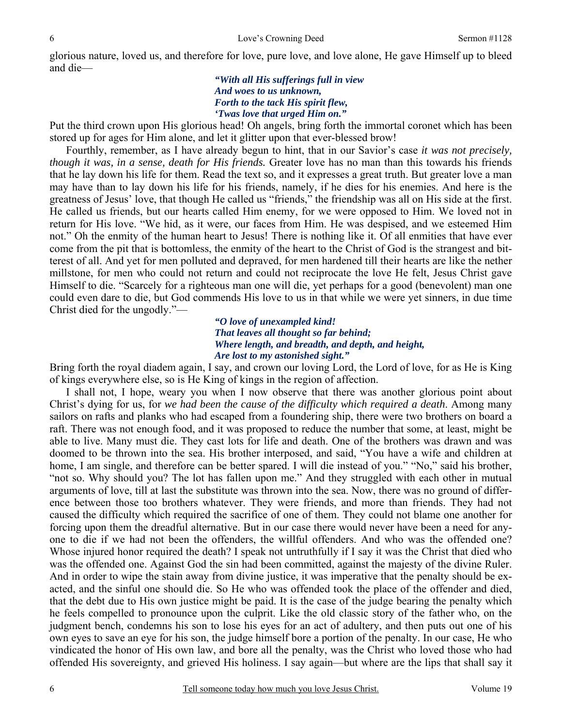glorious nature, loved us, and therefore for love, pure love, and love alone, He gave Himself up to bleed and die—

### *"With all His sufferings full in view And woes to us unknown, Forth to the tack His spirit flew, 'Twas love that urged Him on."*

Put the third crown upon His glorious head! Oh angels, bring forth the immortal coronet which has been stored up for ages for Him alone, and let it glitter upon that ever-blessed brow!

Fourthly, remember, as I have already begun to hint, that in our Savior's case *it was not precisely, though it was, in a sense, death for His friends.* Greater love has no man than this towards his friends that he lay down his life for them. Read the text so, and it expresses a great truth. But greater love a man may have than to lay down his life for his friends, namely, if he dies for his enemies. And here is the greatness of Jesus' love, that though He called us "friends," the friendship was all on His side at the first. He called us friends, but our hearts called Him enemy, for we were opposed to Him. We loved not in return for His love. "We hid, as it were, our faces from Him. He was despised, and we esteemed Him not." Oh the enmity of the human heart to Jesus! There is nothing like it. Of all enmities that have ever come from the pit that is bottomless, the enmity of the heart to the Christ of God is the strangest and bitterest of all. And yet for men polluted and depraved, for men hardened till their hearts are like the nether millstone, for men who could not return and could not reciprocate the love He felt, Jesus Christ gave Himself to die. "Scarcely for a righteous man one will die, yet perhaps for a good (benevolent) man one could even dare to die, but God commends His love to us in that while we were yet sinners, in due time Christ died for the ungodly."—

# *"O love of unexampled kind! That leaves all thought so far behind; Where length, and breadth, and depth, and height, Are lost to my astonished sight."*

Bring forth the royal diadem again, I say, and crown our loving Lord, the Lord of love, for as He is King of kings everywhere else, so is He King of kings in the region of affection.

I shall not, I hope, weary you when I now observe that there was another glorious point about Christ's dying for us, for *we had been the cause of the difficulty which required a death*. Among many sailors on rafts and planks who had escaped from a foundering ship, there were two brothers on board a raft. There was not enough food, and it was proposed to reduce the number that some, at least, might be able to live. Many must die. They cast lots for life and death. One of the brothers was drawn and was doomed to be thrown into the sea. His brother interposed, and said, "You have a wife and children at home, I am single, and therefore can be better spared. I will die instead of you." "No," said his brother, "not so. Why should you? The lot has fallen upon me." And they struggled with each other in mutual arguments of love, till at last the substitute was thrown into the sea. Now, there was no ground of difference between those too brothers whatever. They were friends, and more than friends. They had not caused the difficulty which required the sacrifice of one of them. They could not blame one another for forcing upon them the dreadful alternative. But in our case there would never have been a need for anyone to die if we had not been the offenders, the willful offenders. And who was the offended one? Whose injured honor required the death? I speak not untruthfully if I say it was the Christ that died who was the offended one. Against God the sin had been committed, against the majesty of the divine Ruler. And in order to wipe the stain away from divine justice, it was imperative that the penalty should be exacted, and the sinful one should die. So He who was offended took the place of the offender and died, that the debt due to His own justice might be paid. It is the case of the judge bearing the penalty which he feels compelled to pronounce upon the culprit. Like the old classic story of the father who, on the judgment bench, condemns his son to lose his eyes for an act of adultery, and then puts out one of his own eyes to save an eye for his son, the judge himself bore a portion of the penalty. In our case, He who vindicated the honor of His own law, and bore all the penalty, was the Christ who loved those who had offended His sovereignty, and grieved His holiness. I say again—but where are the lips that shall say it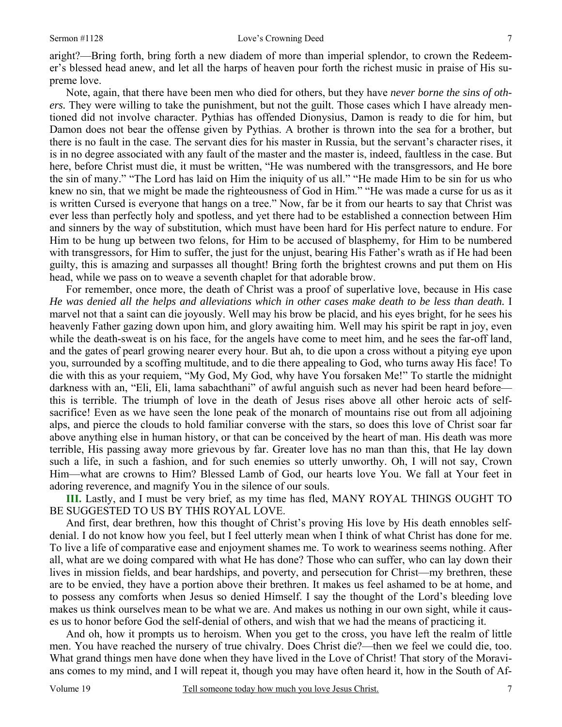aright?—Bring forth, bring forth a new diadem of more than imperial splendor, to crown the Redeemer's blessed head anew, and let all the harps of heaven pour forth the richest music in praise of His supreme love.

Note, again, that there have been men who died for others, but they have *never borne the sins of others.* They were willing to take the punishment, but not the guilt. Those cases which I have already mentioned did not involve character. Pythias has offended Dionysius, Damon is ready to die for him, but Damon does not bear the offense given by Pythias. A brother is thrown into the sea for a brother, but there is no fault in the case. The servant dies for his master in Russia, but the servant's character rises, it is in no degree associated with any fault of the master and the master is, indeed, faultless in the case. But here, before Christ must die, it must be written, "He was numbered with the transgressors, and He bore the sin of many." "The Lord has laid on Him the iniquity of us all." "He made Him to be sin for us who knew no sin, that we might be made the righteousness of God in Him." "He was made a curse for us as it is written Cursed is everyone that hangs on a tree." Now, far be it from our hearts to say that Christ was ever less than perfectly holy and spotless, and yet there had to be established a connection between Him and sinners by the way of substitution, which must have been hard for His perfect nature to endure. For Him to be hung up between two felons, for Him to be accused of blasphemy, for Him to be numbered with transgressors, for Him to suffer, the just for the unjust, bearing His Father's wrath as if He had been guilty, this is amazing and surpasses all thought! Bring forth the brightest crowns and put them on His head, while we pass on to weave a seventh chaplet for that adorable brow.

For remember, once more, the death of Christ was a proof of superlative love, because in His case *He was denied all the helps and alleviations which in other cases make death to be less than death.* I marvel not that a saint can die joyously. Well may his brow be placid, and his eyes bright, for he sees his heavenly Father gazing down upon him, and glory awaiting him. Well may his spirit be rapt in joy, even while the death-sweat is on his face, for the angels have come to meet him, and he sees the far-off land, and the gates of pearl growing nearer every hour. But ah, to die upon a cross without a pitying eye upon you, surrounded by a scoffing multitude, and to die there appealing to God, who turns away His face! To die with this as your requiem, "My God, My God, why have You forsaken Me!" To startle the midnight darkness with an, "Eli, Eli, lama sabachthani" of awful anguish such as never had been heard before this is terrible. The triumph of love in the death of Jesus rises above all other heroic acts of selfsacrifice! Even as we have seen the lone peak of the monarch of mountains rise out from all adjoining alps, and pierce the clouds to hold familiar converse with the stars, so does this love of Christ soar far above anything else in human history, or that can be conceived by the heart of man. His death was more terrible, His passing away more grievous by far. Greater love has no man than this, that He lay down such a life, in such a fashion, and for such enemies so utterly unworthy. Oh, I will not say, Crown Him—what are crowns to Him? Blessed Lamb of God, our hearts love You. We fall at Your feet in adoring reverence, and magnify You in the silence of our souls.

**III.** Lastly, and I must be very brief, as my time has fled, MANY ROYAL THINGS OUGHT TO BE SUGGESTED TO US BY THIS ROYAL LOVE.

And first, dear brethren, how this thought of Christ's proving His love by His death ennobles selfdenial. I do not know how you feel, but I feel utterly mean when I think of what Christ has done for me. To live a life of comparative ease and enjoyment shames me. To work to weariness seems nothing. After all, what are we doing compared with what He has done? Those who can suffer, who can lay down their lives in mission fields, and bear hardships, and poverty, and persecution for Christ—my brethren, these are to be envied, they have a portion above their brethren. It makes us feel ashamed to be at home, and to possess any comforts when Jesus so denied Himself. I say the thought of the Lord's bleeding love makes us think ourselves mean to be what we are. And makes us nothing in our own sight, while it causes us to honor before God the self-denial of others, and wish that we had the means of practicing it.

And oh, how it prompts us to heroism. When you get to the cross, you have left the realm of little men. You have reached the nursery of true chivalry. Does Christ die?—then we feel we could die, too. What grand things men have done when they have lived in the Love of Christ! That story of the Moravians comes to my mind, and I will repeat it, though you may have often heard it, how in the South of Af